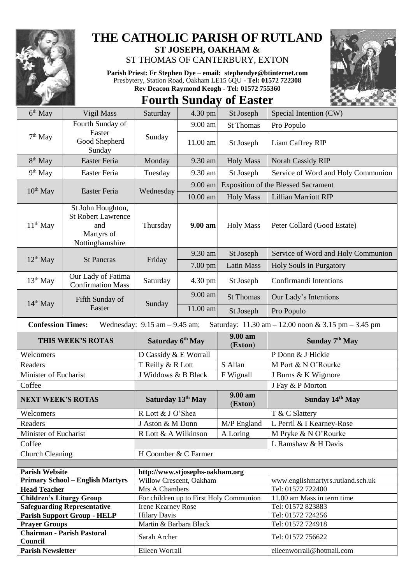

## **THE CATHOLIC PARISH OF RUTLAND ST JOSEPH, OAKHAM &**

ST THOMAS OF CANTERBURY, EXTON

**Parish Priest: Fr Stephen Dye** – **[email: stephendye@btinternet.com](mailto:email:%20%20stephendye@btinternet.com)** Presbytery, Station Road, Oakham LE15 6QU - **Tel: 01572 722308 Rev Deacon Raymond Keogh - Tel: 01572 755360**

**Fourth Sunday of Easter**

| 6 <sup>th</sup> May                                                                                                                                    | Vigil Mass                                                                             | Saturday                  | 4.30 pm                                                                      | St Joseph                                  | Special Intention (CW)                          |  |
|--------------------------------------------------------------------------------------------------------------------------------------------------------|----------------------------------------------------------------------------------------|---------------------------|------------------------------------------------------------------------------|--------------------------------------------|-------------------------------------------------|--|
|                                                                                                                                                        | Fourth Sunday of                                                                       |                           | 9.00 am                                                                      | <b>St Thomas</b>                           | Pro Populo                                      |  |
| $7th$ May                                                                                                                                              | Easter<br>Good Shepherd<br>Sunday                                                      | Sunday                    | 11.00 am                                                                     | St Joseph                                  | Liam Caffrey RIP                                |  |
| 8 <sup>th</sup> May                                                                                                                                    | Easter Feria                                                                           | Monday                    | 9.30 am                                                                      | <b>Holy Mass</b>                           | <b>Norah Cassidy RIP</b>                        |  |
| $9th$ May                                                                                                                                              | Easter Feria                                                                           | Tuesday                   | 9.30 am                                                                      | St Joseph                                  | Service of Word and Holy Communion              |  |
|                                                                                                                                                        |                                                                                        |                           | $9.00$ am                                                                    | <b>Exposition of the Blessed Sacrament</b> |                                                 |  |
| $10^{th}$ May                                                                                                                                          | Easter Feria                                                                           | Wednesday                 | 10.00 am                                                                     | <b>Holy Mass</b>                           | <b>Lillian Marriott RIP</b>                     |  |
| $11th$ May                                                                                                                                             | St John Houghton,<br><b>St Robert Lawrence</b><br>and<br>Martyrs of<br>Nottinghamshire | Thursday                  | 9.00 am                                                                      | <b>Holy Mass</b>                           | Peter Collard (Good Estate)                     |  |
|                                                                                                                                                        | <b>St Pancras</b>                                                                      |                           | 9.30 am<br>St Joseph<br>7.00 pm<br><b>Latin Mass</b><br>4.30 pm<br>St Joseph | Service of Word and Holy Communion         |                                                 |  |
| $12th$ May                                                                                                                                             |                                                                                        | Friday                    |                                                                              |                                            | Holy Souls in Purgatory                         |  |
| $13th$ May                                                                                                                                             | Our Lady of Fatima<br><b>Confirmation Mass</b>                                         | Saturday                  |                                                                              |                                            | Confirmandi Intentions                          |  |
|                                                                                                                                                        | Fifth Sunday of                                                                        | Sunday                    | 9.00 am                                                                      | <b>St Thomas</b>                           | Our Lady's Intentions                           |  |
| $14th$ May                                                                                                                                             | Easter                                                                                 |                           | 11.00 am                                                                     | St Joseph                                  | Pro Populo                                      |  |
| <b>Confession Times:</b><br>Wednesday: $9.15$ am $-9.45$ am;<br>Saturday: $11.30 \text{ am} - 12.00 \text{ noon} \& 3.15 \text{ pm} - 3.45 \text{ pm}$ |                                                                                        |                           |                                                                              |                                            |                                                 |  |
|                                                                                                                                                        |                                                                                        |                           |                                                                              |                                            |                                                 |  |
|                                                                                                                                                        | THIS WEEK'S ROTAS                                                                      | Saturday 6th May          |                                                                              | 9.00 am<br>(Exton)                         | Sunday 7 <sup>th</sup> May                      |  |
| Welcomers                                                                                                                                              |                                                                                        | D Cassidy & E Worrall     |                                                                              |                                            | P Donn & J Hickie                               |  |
| Readers                                                                                                                                                |                                                                                        | T Reilly & R Lott         |                                                                              | S Allan                                    | M Port & N O'Rourke                             |  |
| Minister of Eucharist                                                                                                                                  |                                                                                        | J Widdows & B Black       |                                                                              | F Wignall                                  | J Burns & K Wigmore                             |  |
| Coffee                                                                                                                                                 |                                                                                        |                           |                                                                              |                                            | J Fay & P Morton                                |  |
| <b>NEXT WEEK'S ROTAS</b>                                                                                                                               |                                                                                        | Saturday 13th May         |                                                                              | 9.00 am<br>(Exton)                         | Sunday 14th May                                 |  |
| Welcomers                                                                                                                                              |                                                                                        | R Lott & J O'Shea         |                                                                              |                                            | T & C Slattery                                  |  |
| Readers                                                                                                                                                |                                                                                        | J Aston & M Donn          |                                                                              | M/P England                                | L Perril & I Kearney-Rose                       |  |
| Minister of Eucharist                                                                                                                                  |                                                                                        | R Lott & A Wilkinson      |                                                                              | A Loring                                   | M Pryke & N O'Rourke                            |  |
| Coffee                                                                                                                                                 |                                                                                        |                           |                                                                              |                                            | L Ramshaw & H Davis                             |  |
| <b>Church Cleaning</b>                                                                                                                                 |                                                                                        | H Coomber & C Farmer      |                                                                              |                                            |                                                 |  |
|                                                                                                                                                        |                                                                                        |                           |                                                                              |                                            |                                                 |  |
| <b>Parish Website</b>                                                                                                                                  |                                                                                        |                           | http://www.stjosephs-oakham.org                                              |                                            |                                                 |  |
|                                                                                                                                                        | <b>Primary School - English Martyrs</b>                                                | Willow Crescent, Oakham   |                                                                              |                                            | www.englishmartyrs.rutland.sch.uk               |  |
| <b>Head Teacher</b>                                                                                                                                    |                                                                                        | Mrs A Chambers            |                                                                              |                                            | Tel: 01572 722400                               |  |
| <b>Children's Liturgy Group</b>                                                                                                                        |                                                                                        | <b>Irene Kearney Rose</b> |                                                                              | For children up to First Holy Communion    | 11.00 am Mass in term time<br>Tel: 01572 823883 |  |
|                                                                                                                                                        | <b>Safeguarding Representative</b><br><b>Parish Support Group - HELP</b>               | <b>Hilary Davis</b>       |                                                                              |                                            | Tel: 01572 724256                               |  |
| <b>Prayer Groups</b>                                                                                                                                   |                                                                                        | Martin & Barbara Black    |                                                                              |                                            | Tel: 01572 724918                               |  |
| Council                                                                                                                                                | <b>Chairman - Parish Pastoral</b>                                                      | Sarah Archer              |                                                                              |                                            | Tel: 01572 756622                               |  |